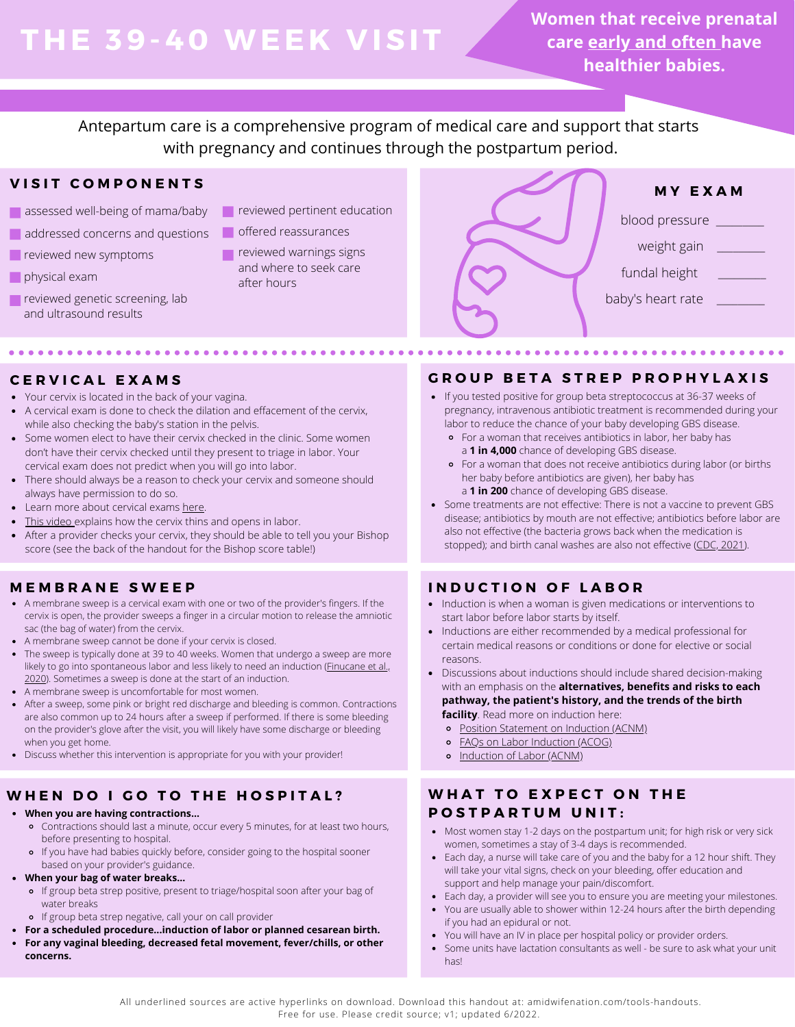# **THE 39-4 0 WEE K V ISIT**

**Women that receive prenatal care early and often have healthier babies.**

Antepartum care is a comprehensive program of medical care and support that starts with pregnancy and continues through the postpartum period.

# **V I S I T C O M P O N E N T S**

- assessed well-being of mama/baby
- addressed concerns and questions
- **reviewed new symptoms**
- **physical exam**
- reviewed genetic screening, lab and ultrasound results
- **Particle reviewed pertinent education**
- offered reassurances
- $\blacksquare$  reviewed warnings signs and where to seek care after hours



Your cervix is located in the back of your vagina.

- A cervical exam is done to check the dilation and effacement of the cervix, while also checking the baby's station in the pelvis.
- Some women elect to have their cervix checked in the clinic. Some women don't have their cervix checked until they present to triage in labor. Your cervical exam does not predict when you will go into labor.
- There should always be a reason to check your cervix and someone should always have permission to do so.
- Learn more about cervical exams [here](https://www.aims.org.uk/information/item/vaginal-examinations-in-labour).
- [This video](https://www.youtube.com/watch?v=URyEZusnjBI&t=1s) explains how the cervix thins and opens in labor.
- After a provider checks your cervix, they should be able to tell you your Bishop score (see the back of the handout for the Bishop score table!)

# **M E M B R A N E S W E E P**

- A membrane sweep is a cervical exam with one or two of the provider's fingers. If the cervix is open, the provider sweeps a finger in a circular motion to release the amniotic sac (the bag of water) from the cervix.
- A membrane sweep cannot be done if your cervix is closed.
- The sweep is typically done at 39 to 40 weeks. Women that undergo a sweep are more likely to go into spontaneous labor and less likely to need an induction ([Finucane et al.,](https://www.cochranelibrary.com/cdsr/doi/10.1002/14651858.CD000451.pub3/full#CD000451-tbl-0001) [2020\)](https://www.cochranelibrary.com/cdsr/doi/10.1002/14651858.CD000451.pub3/full#CD000451-tbl-0001). Sometimes a sweep is done at the start of an induction.
- A membrane sweep is uncomfortable for most women.
- After a sweep, some pink or bright red discharge and bleeding is common. Contractions are also common up to 24 hours after a sweep if performed. If there is some bleeding on the provider's glove after the visit, you will likely have some discharge or bleeding when you get home.
- Discuss whether this intervention is appropriate for you with your provider!

# WHEN DO I GO TO THE HOSPITAL? WHAT TO EXPECT ON THE

- **When you are having contractions...**
	- Contractions should last a minute, occur every 5 minutes, for at least two hours, before presenting to hospital.
	- If you have had babies quickly before, consider going to the hospital sooner based on your provider's guidance.
- **When your bag of water breaks...**
	- o If group beta strep positive, present to triage/hospital soon after your bag of water breaks
	- If group beta strep negative, call your on call provider
	- **For a scheduled procedure...induction of labor or planned cesarean birth.**
- **For any vaginal bleeding, decreased fetal movement, fever/chills, or other concerns.**

# **C E R V I C A L E X A M S G R O U P B E T A S T R E P P R O P H Y L A X I S**

- If you tested positive for group beta streptococcus at 36-37 weeks of pregnancy, intravenous antibiotic treatment is recommended during your labor to reduce the chance of your baby developing GBS disease.
	- For a woman that receives antibiotics in labor, her baby has a **1 in 4,000** chance of developing GBS disease.
	- For a woman that does not receive antibiotics during labor (or births her baby before antibiotics are given), her baby has a **1 in 200** chance of developing GBS disease.
- Some treatments are not effective: There is not a vaccine to prevent GBS disease; antibiotics by mouth are not effective; antibiotics before labor are also not effective (the bacteria grows back when the medication is stopped); and birth canal washes are also not effective ([CDC, 2021\)](https://www.cdc.gov/groupbstrep/about/prevention.html).

# **I N D U C T I O N O F L A B O R**

. . . . . .

- Induction is when a woman is given medications or interventions to start labor before labor starts by itself.
- Inductions are either recommended by a medical professional for certain medical reasons or conditions or done for elective or social reasons.
- Discussions about inductions should include shared decision-making with an emphasis on the **alternatives, benefits and risks to each pathway, the patient's history, and the trends of the birth facility**. Read more on induction here:
	- [Position Statement on Induction](http://www.midwife.org/ACNM/files/ACNMLibraryData/UPLOADFILENAME/000000000235/Induction%20of%20Labor%2010.10.pdf) (ACNM)
	- [FAQs on Labor Induction](https://www.acog.org/womens-health/faqs/labor-induction#:~:text=The%20Bishop%20score%20may%20be,not%20be%20ready%20for%20labor.) (ACOG)
	- o [Induction of Labor](https://onlinelibrary.wiley.com/doi/epdf/10.1111/jmwh.12649) (ACNM)

# **P O S T P A R T U M U N I T :**

- Most women stay 1-2 days on the postpartum unit; for high risk or very sick women, sometimes a stay of 3-4 days is recommended.
- Each day, a nurse will take care of you and the baby for a 12 hour shift. They will take your vital signs, check on your bleeding, offer education and support and help manage your pain/discomfort.
- Each day, a provider will see you to ensure you are meeting your milestones.
- You are usually able to shower within 12-24 hours after the birth depending if you had an epidural or not.
- You will have an IV in place per hospital policy or provider orders.
- Some units have lactation consultants as well be sure to ask what your unit has!